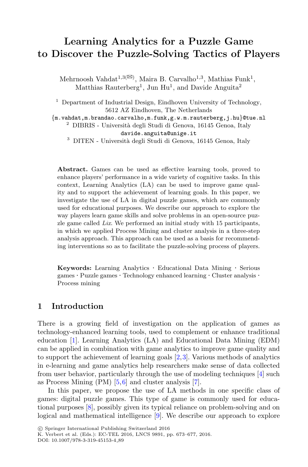# **Learning Analytics for a Puzzle Game to Discover the Puzzle-Solving Tactics of Players**

Mehrnoosh Vahdat<sup>1,3( $\boxtimes$ )</sup>, Maira B. Carvalho<sup>1,3</sup>, Mathias Funk<sup>1</sup>, Matthias Rauterberg<sup>1</sup>, Jun Hu<sup>1</sup>, and Davide Anguita<sup>2</sup>

<sup>1</sup> Department of Industrial Design, Eindhoven University of Technology, 5612 AZ Eindhoven, The Netherlands<br> $\{m.vahdat, m.brandao, carvalho, m.funk, g.w.m.rauterberg, j.hu}$ @tue.nl

<sup>2</sup> DIBRIS - Università degli Studi di Genova, 16145 Genoa, Italy davide.anguita@unige.it

 $^3$  DITEN - Università degli Studi di Genova, 16145 Genoa, Italy

**Abstract.** Games can be used as effective learning tools, proved to enhance players' performance in a wide variety of cognitive tasks. In this context, Learning Analytics (LA) can be used to improve game quality and to support the achievement of learning goals. In this paper, we investigate the use of LA in digital puzzle games, which are commonly used for educational purposes. We describe our approach to explore the way players learn game skills and solve problems in an open-source puzzle game called *Lix*. We performed an initial study with 15 participants, in which we applied Process Mining and cluster analysis in a three-step analysis approach. This approach can be used as a basis for recommending interventions so as to facilitate the puzzle-solving process of players.

**Keywords:** Learning Analytics *·* Educational Data Mining *·* Serious games *·* Puzzle games *·* Technology enhanced learning *·* Cluster analysis *·* Process mining

#### **1 Introduction**

There is a growing field of investigation on the application of games as technology-enhanced learning tools, used to complement or enhance traditional education [\[1\]](#page-3-0). Learning Analytics (LA) and Educational Data Mining (EDM) can be applied in combination with game analytics to improve game quality and to support the achievement of learning goals  $[2,3]$  $[2,3]$  $[2,3]$ . Various methods of analytics in e-learning and game analytics help researchers make sense of data collected from user behavior, particularly through the use of modeling techniques [\[4\]](#page-3-3) such as Process Mining (PM) [\[5,](#page-3-4)[6](#page-3-5)] and cluster analysis [\[7](#page-3-6)].

In this paper, we propose the use of LA methods in one specific class of games: digital puzzle games. This type of game is commonly used for educational purposes [\[8](#page-4-0)], possibly given its typical reliance on problem-solving and on logical and mathematical intelligence [\[9\]](#page-4-1). We describe our approach to explore

K. Verbert et al. (Eds.): EC-TEL 2016, LNCS 9891, pp. 673–677, 2016. DOI: 10.1007/978-3-319-45153-4 89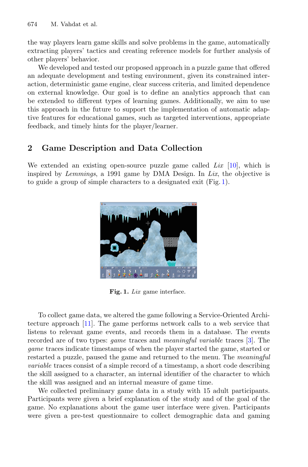the way players learn game skills and solve problems in the game, automatically extracting players' tactics and creating reference models for further analysis of other players' behavior.

We developed and tested our proposed approach in a puzzle game that offered an adequate development and testing environment, given its constrained interaction, deterministic game engine, clear success criteria, and limited dependence on external knowledge. Our goal is to define an analytics approach that can be extended to different types of learning games. Additionally, we aim to use this approach in the future to support the implementation of automatic adaptive features for educational games, such as targeted interventions, appropriate feedback, and timely hints for the player/learner.

## <span id="page-1-1"></span>**2 Game Description and Data Collection**

We extended an existing open-source puzzle game called *Lix* [\[10](#page-4-2)], which is inspired by *Lemmings*, a 1991 game by DMA Design. In *Lix*, the objective is to guide a group of simple characters to a designated exit (Fig. [1\)](#page-1-0).



**Fig. 1.** *Lix* game interface.

<span id="page-1-0"></span>To collect game data, we altered the game following a Service-Oriented Architecture approach [\[11](#page-4-3)]. The game performs network calls to a web service that listens to relevant game events, and records them in a database. The events recorded are of two types: *game* traces and *meaningful variable* traces [\[3\]](#page-3-2). The *game* traces indicate timestamps of when the player started the game, started or restarted a puzzle, paused the game and returned to the menu. The *meaningful variable* traces consist of a simple record of a timestamp, a short code describing the skill assigned to a character, an internal identifier of the character to which the skill was assigned and an internal measure of game time.

We collected preliminary game data in a study with 15 adult participants. Participants were given a brief explanation of the study and of the goal of the game. No explanations about the game user interface were given. Participants were given a pre-test questionnaire to collect demographic data and gaming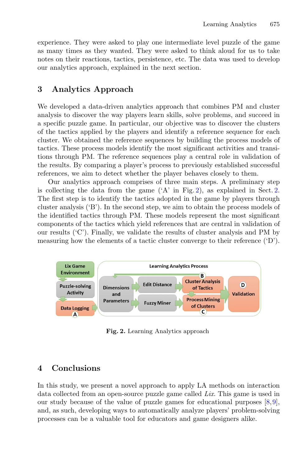experience. They were asked to play one intermediate level puzzle of the game as many times as they wanted. They were asked to think aloud for us to take notes on their reactions, tactics, persistence, etc. The data was used to develop our analytics approach, explained in the next section.

### **3 Analytics Approach**

We developed a data-driven analytics approach that combines PM and cluster analysis to discover the way players learn skills, solve problems, and succeed in a specific puzzle game. In particular, our objective was to discover the clusters of the tactics applied by the players and identify a reference sequence for each cluster. We obtained the reference sequences by building the process models of tactics. These process models identify the most significant activities and transitions through PM. The reference sequences play a central role in validation of the results. By comparing a player's process to previously established successful references, we aim to detect whether the player behaves closely to them.

Our analytics approach comprises of three main steps. A preliminary step is collecting the data from the game  $(A'$  in Fig. [2\)](#page-2-0), as explained in Sect. [2.](#page-1-1) The first step is to identify the tactics adopted in the game by players through cluster analysis ('B'). In the second step, we aim to obtain the process models of the identified tactics through PM. These models represent the most significant components of the tactics which yield references that are central in validation of our results ('C'). Finally, we validate the results of cluster analysis and PM by measuring how the elements of a tactic cluster converge to their reference ('D').



<span id="page-2-0"></span>**Fig. 2.** Learning Analytics approach

## **4 Conclusions**

In this study, we present a novel approach to apply LA methods on interaction data collected from an open-source puzzle game called *Lix*. This game is used in our study because of the value of puzzle games for educational purposes [\[8](#page-4-0),[9\]](#page-4-1), and, as such, developing ways to automatically analyze players' problem-solving processes can be a valuable tool for educators and game designers alike.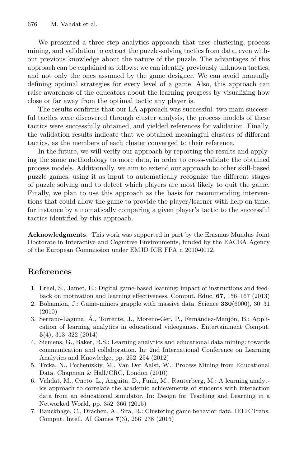We presented a three-step analytics approach that uses clustering, process mining, and validation to extract the puzzle-solving tactics from data, even without previous knowledge about the nature of the puzzle. The advantages of this approach can be explained as follows: we can identify previously unknown tactics, and not only the ones assumed by the game designer. We can avoid manually defining optimal strategies for every level of a game. Also, this approach can raise awareness of the educators about the learning progress by visualizing how close or far away from the optimal tactic any player is.

The results confirms that our LA approach was successful: two main successful tactics were discovered through cluster analysis, the process models of these tactics were successfully obtained, and yielded references for validation. Finally, the validation results indicate that we obtained meaningful clusters of different tactics, as the members of each cluster converged to their reference.

In the future, we will verify our approach by reporting the results and applying the same methodology to more data, in order to cross-validate the obtained process models. Additionally, we aim to extend our approach to other skill-based puzzle games, using it as input to automatically recognize the different stages of puzzle solving and to detect which players are most likely to quit the game. Finally, we plan to use this approach as the basis for recommending interventions that could allow the game to provide the player/learner with help on time, for instance by automatically comparing a given player's tactic to the successful tactics identified by this approach.

**Acknowledgments.** This work was supported in part by the Erasmus Mundus Joint Doctorate in Interactive and Cognitive Environments, funded by the EACEA Agency of the European Commission under EMJD ICE FPA n 2010-0012.

### **References**

- <span id="page-3-0"></span>1. Erhel, S., Jamet, E.: Digital game-based learning: impact of instructions and feedback on motivation and learning effectiveness. Comput. Educ. **67**, 156–167 (2013)
- <span id="page-3-1"></span>2. Bohannon, J.: Game-miners grapple with massive data. Science **330**(6000), 30–31 (2010)
- <span id="page-3-2"></span>3. Serrano-Laguna, A., Torrente, J., Moreno-Ger, P., Fernández-Manjón, B.: Application of learning analytics in educational videogames. Entertainment Comput. **5**(4), 313–322 (2014)
- <span id="page-3-3"></span>4. Siemens, G., Baker, R.S.: Learning analytics and educational data mining: towards communication and collaboration. In: 2nd International Conference on Learning Analytics and Knowledge, pp. 252–254 (2012)
- <span id="page-3-4"></span>5. Trcka, N., Pechenizkiy, M., Van Der Aalst, W.: Process Mining from Educational Data. Chapman & Hall/CRC, London (2010)
- <span id="page-3-5"></span>6. Vahdat, M., Oneto, L., Anguita, D., Funk, M., Rauterberg, M.: A learning analytics approach to correlate the academic achievements of students with interaction data from an educational simulator. In: Design for Teaching and Learning in a Networked World, pp. 352–366 (2015)
- <span id="page-3-6"></span>7. Bauckhage, C., Drachen, A., Sifa, R.: Clustering game behavior data. IEEE Trans. Comput. Intell. AI Games **7**(3), 266–278 (2015)